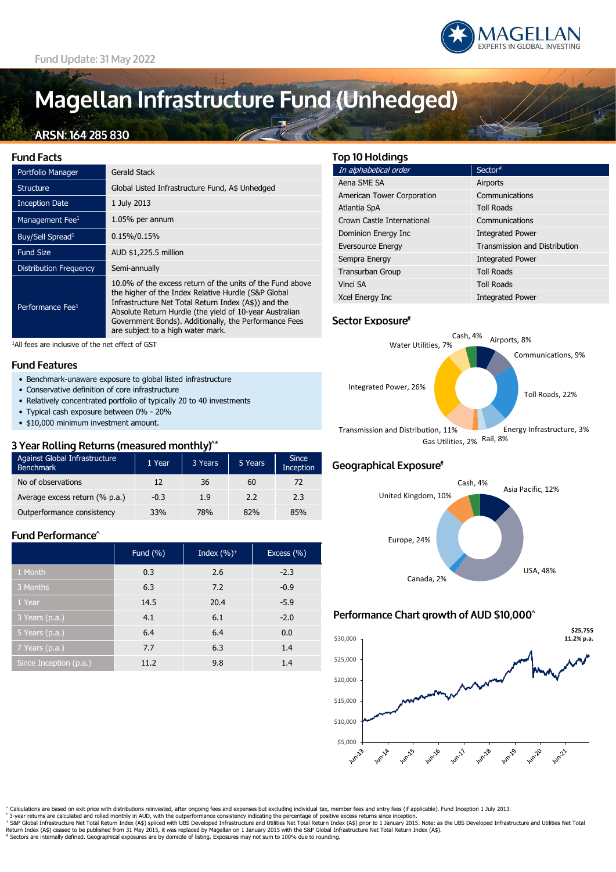

# Magellan Infrastructure Fund (Unhedged)

# ARSN: 164 285 830

| Fund Facts                   |                                                                                                                                                                                                                                                                                                                                   |
|------------------------------|-----------------------------------------------------------------------------------------------------------------------------------------------------------------------------------------------------------------------------------------------------------------------------------------------------------------------------------|
| Portfolio Manager            | Gerald Stack                                                                                                                                                                                                                                                                                                                      |
| <b>Structure</b>             | Global Listed Infrastructure Fund, A\$ Unhedged                                                                                                                                                                                                                                                                                   |
| <b>Inception Date</b>        | 1 July 2013                                                                                                                                                                                                                                                                                                                       |
| Management Fee <sup>1</sup>  | 1.05% per annum                                                                                                                                                                                                                                                                                                                   |
| Buy/Sell Spread <sup>1</sup> | $0.15\%/0.15\%$                                                                                                                                                                                                                                                                                                                   |
| <b>Fund Size</b>             | AUD \$1,225.5 million                                                                                                                                                                                                                                                                                                             |
| Distribution Frequency       | Semi-annually                                                                                                                                                                                                                                                                                                                     |
| Performance Fee <sup>1</sup> | 10.0% of the excess return of the units of the Fund above<br>the higher of the Index Relative Hurdle (S&P Global<br>Infrastructure Net Total Return Index (A\$)) and the<br>Absolute Return Hurdle (the yield of 10-year Australian<br>Government Bonds). Additionally, the Performance Fees<br>are subject to a high water mark. |

<sup>1</sup>All fees are inclusive of the net effect of GST

#### **Fund Features**

- Benchmark-unaware exposure to global listed infrastructure
- Conservative definition of core infrastructure
- Relatively concentrated portfolio of typically 20 to 40 investments
- Typical cash exposure between 0% 20%
- \$10,000 minimum investment amount.

#### 3 Year Rolling Returns (measured monthly)<sup>^\*</sup>

| Against Global Infrastructure<br><b>Benchmark</b> | 1 Year | 3 Years | 5 Years | <b>Since</b><br>Inception |
|---------------------------------------------------|--------|---------|---------|---------------------------|
| No of observations                                | 12     | 36      | 60      | 72                        |
| Average excess return (% p.a.)                    | $-0.3$ | 1.9     | 2.2     | 2.3                       |
| Outperformance consistency                        | 33%    | 78%     | 82%     | 85%                       |

### Fund Performance<sup>^</sup>

|                        | Fund $(\% )$ | Index $(\%)^+$ | Excess $(\% )$ |
|------------------------|--------------|----------------|----------------|
| 1 Month                | 0.3          | 2.6            | $-2.3$         |
| 3 Months               | 6.3          | 7.2            | $-0.9$         |
| 1 Year                 | 14.5         | 20.4           | $-5.9$         |
| 3 Years (p.a.)         | 4.1          | 6.1            | $-2.0$         |
| 5 Years (p.a.)         | 6.4          | 6.4            | 0.0            |
| 7 Years (p.a.)         | 7.7          | 6.3            | 1.4            |
| Since Inception (p.a.) | 11.2         | 9.8            | 1.4            |

#### **Top 10 Holdings**

| In alphabetical order      | Sector#                              |
|----------------------------|--------------------------------------|
| Aena SME SA                | Airports                             |
| American Tower Corporation | Communications                       |
| Atlantia SpA               | <b>Toll Roads</b>                    |
| Crown Castle International | Communications                       |
| Dominion Energy Inc        | <b>Integrated Power</b>              |
| <b>Eversource Energy</b>   | <b>Transmission and Distribution</b> |
| Sempra Energy              | <b>Integrated Power</b>              |
| Transurban Group           | <b>Toll Roads</b>                    |
| Vinci SA                   | <b>Toll Roads</b>                    |
| Xcel Energy Inc            | <b>Integrated Power</b>              |

#### Sector Exposure<sup>#</sup>



### Geographical Exposure#



## Performance Chart growth of AUD \$10,000^



Calculations are based on exit price with distributions reinvested, after ongoing fees and expenses but excluding individual tax, member fees and entry fees (if applicable). Fund Inception 1 July 2013.

\* 3-year returns are calculated and rolled monthly in AUD, with the outperformance consistency indicating the percentage of positive excess returns since inception.<br>\* S&P Global Infrastructure Net Total Return Index (A\$) s